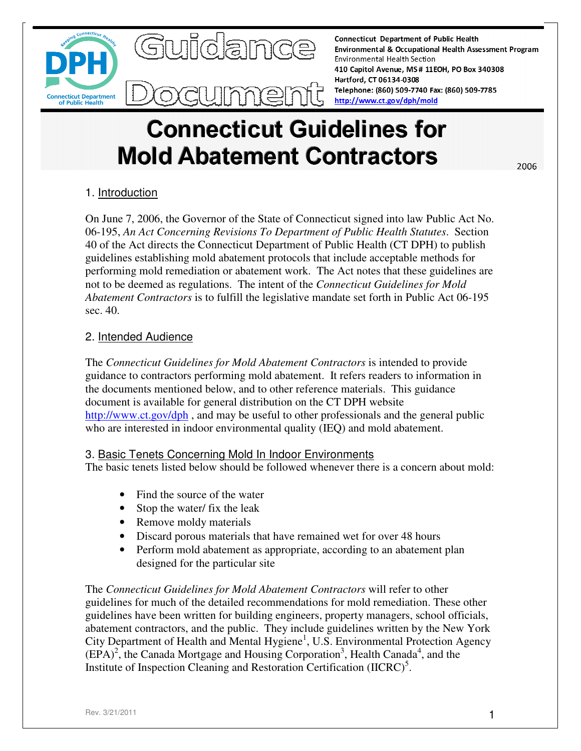

# **Connecticut Guidelines for Mold Abatement Contractors**

Suidanc

2006

# 1. Introduction

On June 7, 2006, the Governor of the State of Connecticut signed into law Public Act No. 06-195, *An Act Concerning Revisions To Department of Public Health Statutes*. Section 40 of the Act directs the Connecticut Department of Public Health (CT DPH) to publish guidelines establishing mold abatement protocols that include acceptable methods for performing mold remediation or abatement work. The Act notes that these guidelines are not to be deemed as regulations. The intent of the *Connecticut Guidelines for Mold Abatement Contractors* is to fulfill the legislative mandate set forth in Public Act 06-195 sec. 40.

# 2. Intended Audience

The *Connecticut Guidelines for Mold Abatement Contractors* is intended to provide guidance to contractors performing mold abatement. It refers readers to information in the documents mentioned below, and to other reference materials. This guidance document is available for general distribution on the CT DPH website http://www.ct.gov/dph, and may be useful to other professionals and the general public who are interested in indoor environmental quality (IEQ) and mold abatement.

# 3. Basic Tenets Concerning Mold In Indoor Environments

The basic tenets listed below should be followed whenever there is a concern about mold:

- Find the source of the water
- Stop the water/ fix the leak
- Remove moldy materials
- Discard porous materials that have remained wet for over 48 hours
- Perform mold abatement as appropriate, according to an abatement plan designed for the particular site

The *Connecticut Guidelines for Mold Abatement Contractors* will refer to other guidelines for much of the detailed recommendations for mold remediation. These other guidelines have been written for building engineers, property managers, school officials, abatement contractors, and the public. They include guidelines written by the New York City Department of Health and Mental Hygiene<sup>1</sup>, U.S. Environmental Protection Agency  $(EPA)^2$ , the Canada Mortgage and Housing Corporation<sup>3</sup>, Health Canada<sup>4</sup>, and the Institute of Inspection Cleaning and Restoration Certification (IICRC)<sup>5</sup>.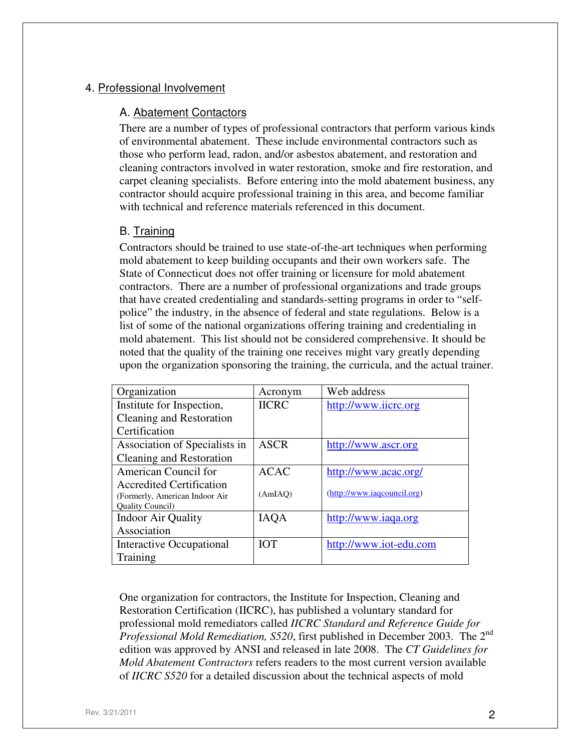# 4. Professional Involvement

#### A. Abatement Contactors

There are a number of types of professional contractors that perform various kinds of environmental abatement. These include environmental contractors such as those who perform lead, radon, and/or asbestos abatement, and restoration and cleaning contractors involved in water restoration, smoke and fire restoration, and carpet cleaning specialists. Before entering into the mold abatement business, any contractor should acquire professional training in this area, and become familiar with technical and reference materials referenced in this document.

## B. Training

Contractors should be trained to use state-of-the-art techniques when performing mold abatement to keep building occupants and their own workers safe. The State of Connecticut does not offer training or licensure for mold abatement contractors. There are a number of professional organizations and trade groups that have created credentialing and standards-setting programs in order to "selfpolice" the industry, in the absence of federal and state regulations. Below is a list of some of the national organizations offering training and credentialing in mold abatement. This list should not be considered comprehensive. It should be noted that the quality of the training one receives might vary greatly depending upon the organization sponsoring the training, the curricula, and the actual trainer.

| Organization                                              | Acronym      | Web address                 |
|-----------------------------------------------------------|--------------|-----------------------------|
| Institute for Inspection,                                 | <b>IICRC</b> | http://www.iicrc.org        |
| <b>Cleaning and Restoration</b>                           |              |                             |
| Certification                                             |              |                             |
| Association of Specialists in                             | <b>ASCR</b>  | http://www.ascr.org         |
| Cleaning and Restoration                                  |              |                             |
| American Council for                                      | <b>ACAC</b>  | http://www.acac.org/        |
| Accredited Certification                                  |              | (http://www.iaqcouncil.org) |
| (Formerly, American Indoor Air<br><b>Quality Council)</b> | (AmIAO)      |                             |
| <b>Indoor Air Quality</b>                                 | <b>IAQA</b>  | http://www.iaqa.org         |
| Association                                               |              |                             |
| <b>Interactive Occupational</b>                           | <b>IOT</b>   | http://www.iot-edu.com      |
| Training                                                  |              |                             |

One organization for contractors, the Institute for Inspection, Cleaning and Restoration Certification (IICRC), has published a voluntary standard for professional mold remediators called *IICRC Standard and Reference Guide for Professional Mold Remediation, S520*, first published in December 2003. The 2nd edition was approved by ANSI and released in late 2008. The *CT Guidelines for Mold Abatement Contractors* refers readers to the most current version available of *IICRC S520* for a detailed discussion about the technical aspects of mold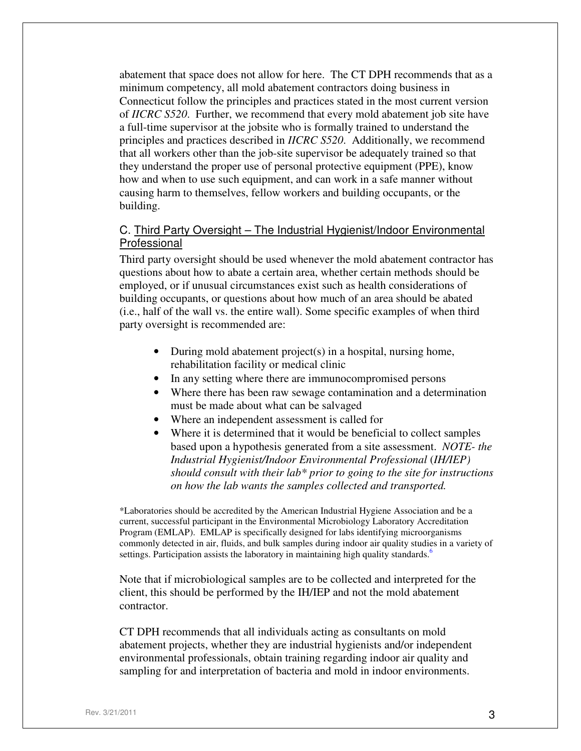abatement that space does not allow for here. The CT DPH recommends that as a minimum competency, all mold abatement contractors doing business in Connecticut follow the principles and practices stated in the most current version of *IICRC S520*. Further, we recommend that every mold abatement job site have a full-time supervisor at the jobsite who is formally trained to understand the principles and practices described in *IICRC S520*. Additionally, we recommend that all workers other than the job-site supervisor be adequately trained so that they understand the proper use of personal protective equipment (PPE), know how and when to use such equipment, and can work in a safe manner without causing harm to themselves, fellow workers and building occupants, or the building.

# C. Third Party Oversight – The Industrial Hygienist/Indoor Environmental Professional

Third party oversight should be used whenever the mold abatement contractor has questions about how to abate a certain area, whether certain methods should be employed, or if unusual circumstances exist such as health considerations of building occupants, or questions about how much of an area should be abated (i.e., half of the wall vs. the entire wall). Some specific examples of when third party oversight is recommended are:

- During mold abatement project(s) in a hospital, nursing home, rehabilitation facility or medical clinic
- In any setting where there are immunocompromised persons
- Where there has been raw sewage contamination and a determination must be made about what can be salvaged
- Where an independent assessment is called for
- Where it is determined that it would be beneficial to collect samples based upon a hypothesis generated from a site assessment. *NOTE- the Industrial Hygienist/Indoor Environmental Professional* (*IH/IEP) should consult with their lab\* prior to going to the site for instructions on how the lab wants the samples collected and transported.*

\*Laboratories should be accredited by the American Industrial Hygiene Association and be a current, successful participant in the Environmental Microbiology Laboratory Accreditation Program (EMLAP). EMLAP is specifically designed for labs identifying microorganisms commonly detected in air, fluids, and bulk samples during indoor air quality studies in a variety of settings. Participation assists the laboratory in maintaining high quality standards.<sup>6</sup>

Note that if microbiological samples are to be collected and interpreted for the client, this should be performed by the IH/IEP and not the mold abatement contractor.

CT DPH recommends that all individuals acting as consultants on mold abatement projects, whether they are industrial hygienists and/or independent environmental professionals, obtain training regarding indoor air quality and sampling for and interpretation of bacteria and mold in indoor environments.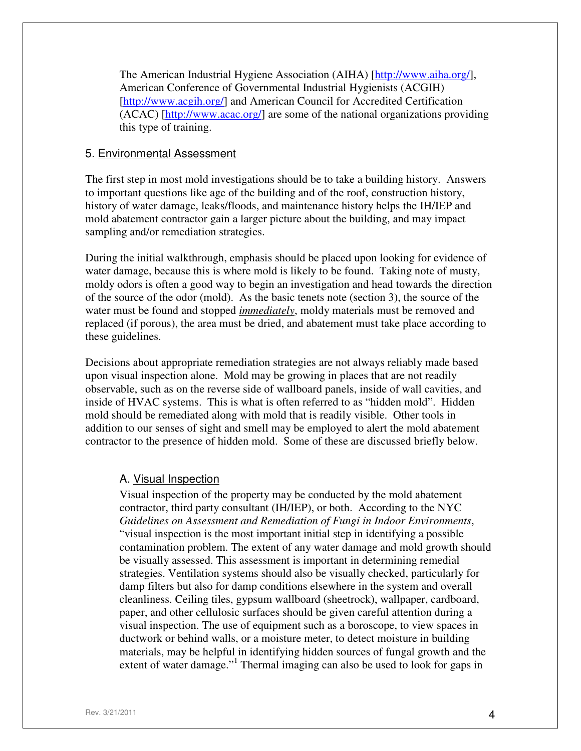The American Industrial Hygiene Association (AIHA) [http://www.aiha.org/], American Conference of Governmental Industrial Hygienists (ACGIH) [http://www.acgih.org/] and American Council for Accredited Certification (ACAC) [http://www.acac.org/] are some of the national organizations providing this type of training.

#### 5. Environmental Assessment

The first step in most mold investigations should be to take a building history. Answers to important questions like age of the building and of the roof, construction history, history of water damage, leaks/floods, and maintenance history helps the IH/IEP and mold abatement contractor gain a larger picture about the building, and may impact sampling and/or remediation strategies.

During the initial walkthrough, emphasis should be placed upon looking for evidence of water damage, because this is where mold is likely to be found. Taking note of musty, moldy odors is often a good way to begin an investigation and head towards the direction of the source of the odor (mold). As the basic tenets note (section 3), the source of the water must be found and stopped *immediately*, moldy materials must be removed and replaced (if porous), the area must be dried, and abatement must take place according to these guidelines.

Decisions about appropriate remediation strategies are not always reliably made based upon visual inspection alone. Mold may be growing in places that are not readily observable, such as on the reverse side of wallboard panels, inside of wall cavities, and inside of HVAC systems. This is what is often referred to as "hidden mold". Hidden mold should be remediated along with mold that is readily visible. Other tools in addition to our senses of sight and smell may be employed to alert the mold abatement contractor to the presence of hidden mold. Some of these are discussed briefly below.

#### A. Visual Inspection

Visual inspection of the property may be conducted by the mold abatement contractor, third party consultant (IH/IEP), or both. According to the NYC *Guidelines on Assessment and Remediation of Fungi in Indoor Environments*, "visual inspection is the most important initial step in identifying a possible contamination problem. The extent of any water damage and mold growth should be visually assessed. This assessment is important in determining remedial strategies. Ventilation systems should also be visually checked, particularly for damp filters but also for damp conditions elsewhere in the system and overall cleanliness. Ceiling tiles, gypsum wallboard (sheetrock), wallpaper, cardboard, paper, and other cellulosic surfaces should be given careful attention during a visual inspection. The use of equipment such as a boroscope, to view spaces in ductwork or behind walls, or a moisture meter, to detect moisture in building materials, may be helpful in identifying hidden sources of fungal growth and the extent of water damage."<sup>1</sup> Thermal imaging can also be used to look for gaps in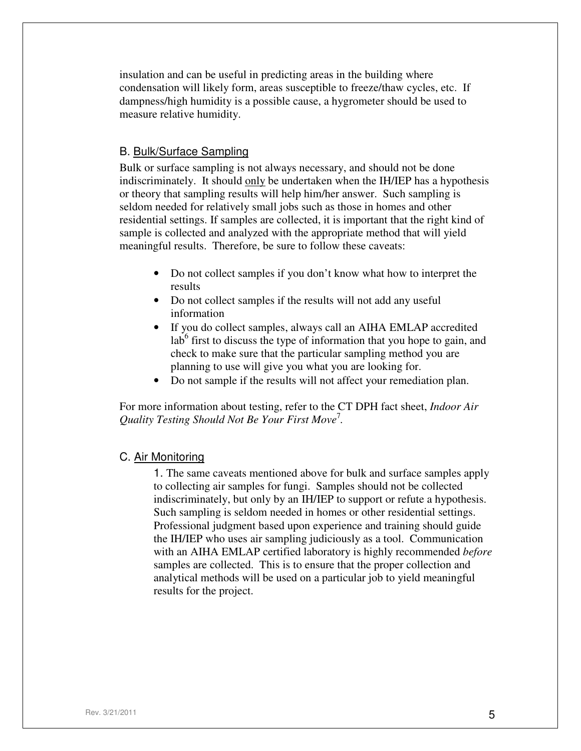insulation and can be useful in predicting areas in the building where condensation will likely form, areas susceptible to freeze/thaw cycles, etc. If dampness/high humidity is a possible cause, a hygrometer should be used to measure relative humidity.

## B. Bulk/Surface Sampling

Bulk or surface sampling is not always necessary, and should not be done indiscriminately. It should only be undertaken when the IH/IEP has a hypothesis or theory that sampling results will help him/her answer. Such sampling is seldom needed for relatively small jobs such as those in homes and other residential settings. If samples are collected, it is important that the right kind of sample is collected and analyzed with the appropriate method that will yield meaningful results. Therefore, be sure to follow these caveats:

- Do not collect samples if you don't know what how to interpret the results
- Do not collect samples if the results will not add any useful information
- If you do collect samples, always call an AIHA EMLAP accredited lab<sup>6</sup> first to discuss the type of information that you hope to gain, and check to make sure that the particular sampling method you are planning to use will give you what you are looking for.
- Do not sample if the results will not affect your remediation plan.

For more information about testing, refer to the CT DPH fact sheet, *Indoor Air Quality Testing Should Not Be Your First Move*<sup>7</sup> *.*

#### C. Air Monitoring

1. The same caveats mentioned above for bulk and surface samples apply to collecting air samples for fungi. Samples should not be collected indiscriminately, but only by an IH/IEP to support or refute a hypothesis. Such sampling is seldom needed in homes or other residential settings. Professional judgment based upon experience and training should guide the IH/IEP who uses air sampling judiciously as a tool. Communication with an AIHA EMLAP certified laboratory is highly recommended *before* samples are collected. This is to ensure that the proper collection and analytical methods will be used on a particular job to yield meaningful results for the project.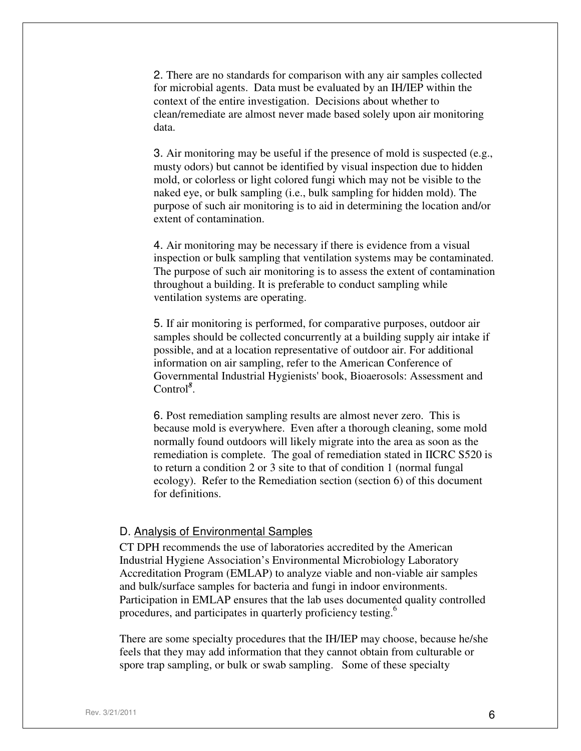2. There are no standards for comparison with any air samples collected for microbial agents. Data must be evaluated by an IH/IEP within the context of the entire investigation. Decisions about whether to clean/remediate are almost never made based solely upon air monitoring data.

3. Air monitoring may be useful if the presence of mold is suspected (e.g., musty odors) but cannot be identified by visual inspection due to hidden mold, or colorless or light colored fungi which may not be visible to the naked eye, or bulk sampling (i.e., bulk sampling for hidden mold). The purpose of such air monitoring is to aid in determining the location and/or extent of contamination.

4. Air monitoring may be necessary if there is evidence from a visual inspection or bulk sampling that ventilation systems may be contaminated. The purpose of such air monitoring is to assess the extent of contamination throughout a building. It is preferable to conduct sampling while ventilation systems are operating.

5. If air monitoring is performed, for comparative purposes, outdoor air samples should be collected concurrently at a building supply air intake if possible, and at a location representative of outdoor air. For additional information on air sampling, refer to the American Conference of Governmental Industrial Hygienists' book, Bioaerosols: Assessment and Control<sup>8</sup>.

6. Post remediation sampling results are almost never zero. This is because mold is everywhere. Even after a thorough cleaning, some mold normally found outdoors will likely migrate into the area as soon as the remediation is complete. The goal of remediation stated in IICRC S520 is to return a condition 2 or 3 site to that of condition 1 (normal fungal ecology). Refer to the Remediation section (section 6) of this document for definitions.

# D. Analysis of Environmental Samples

CT DPH recommends the use of laboratories accredited by the American Industrial Hygiene Association's Environmental Microbiology Laboratory Accreditation Program (EMLAP) to analyze viable and non-viable air samples and bulk/surface samples for bacteria and fungi in indoor environments. Participation in EMLAP ensures that the lab uses documented quality controlled procedures, and participates in quarterly proficiency testing.<sup>6</sup>

There are some specialty procedures that the IH/IEP may choose, because he/she feels that they may add information that they cannot obtain from culturable or spore trap sampling, or bulk or swab sampling. Some of these specialty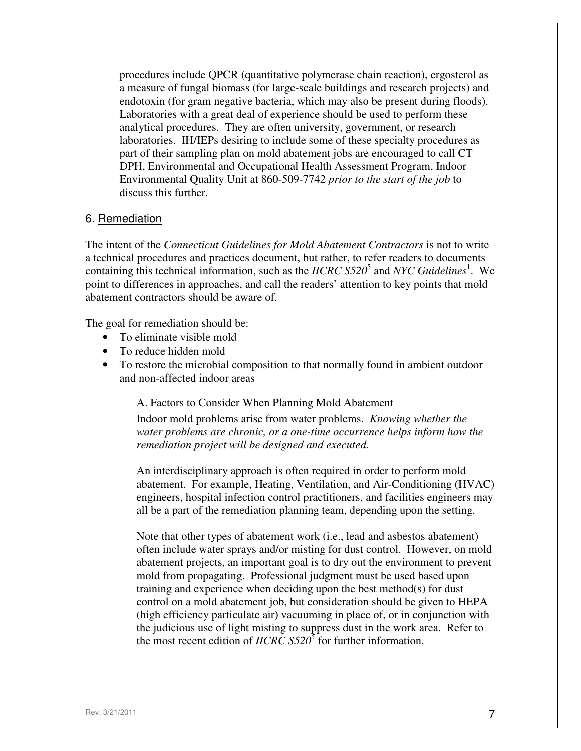procedures include QPCR (quantitative polymerase chain reaction), ergosterol as a measure of fungal biomass (for large-scale buildings and research projects) and endotoxin (for gram negative bacteria, which may also be present during floods). Laboratories with a great deal of experience should be used to perform these analytical procedures. They are often university, government, or research laboratories. IH/IEPs desiring to include some of these specialty procedures as part of their sampling plan on mold abatement jobs are encouraged to call CT DPH, Environmental and Occupational Health Assessment Program, Indoor Environmental Quality Unit at 860-509-7742 *prior to the start of the job* to discuss this further.

## 6. Remediation

The intent of the *Connecticut Guidelines for Mold Abatement Contractors* is not to write a technical procedures and practices document, but rather, to refer readers to documents containing this technical information, such as the *IICRC S520*<sup>5</sup> and *NYC Guidelines*<sup>1</sup>. We point to differences in approaches, and call the readers' attention to key points that mold abatement contractors should be aware of.

The goal for remediation should be:

- To eliminate visible mold
- To reduce hidden mold
- To restore the microbial composition to that normally found in ambient outdoor and non-affected indoor areas

## A. Factors to Consider When Planning Mold Abatement

Indoor mold problems arise from water problems. *Knowing whether the water problems are chronic, or a one-time occurrence helps inform how the remediation project will be designed and executed.* 

An interdisciplinary approach is often required in order to perform mold abatement. For example, Heating, Ventilation, and Air-Conditioning (HVAC) engineers, hospital infection control practitioners, and facilities engineers may all be a part of the remediation planning team, depending upon the setting.

Note that other types of abatement work (i.e., lead and asbestos abatement) often include water sprays and/or misting for dust control. However, on mold abatement projects, an important goal is to dry out the environment to prevent mold from propagating. Professional judgment must be used based upon training and experience when deciding upon the best method(s) for dust control on a mold abatement job, but consideration should be given to HEPA (high efficiency particulate air) vacuuming in place of, or in conjunction with the judicious use of light misting to suppress dust in the work area. Refer to the most recent edition of *IICRC S520*<sup> $3$ </sup> for further information.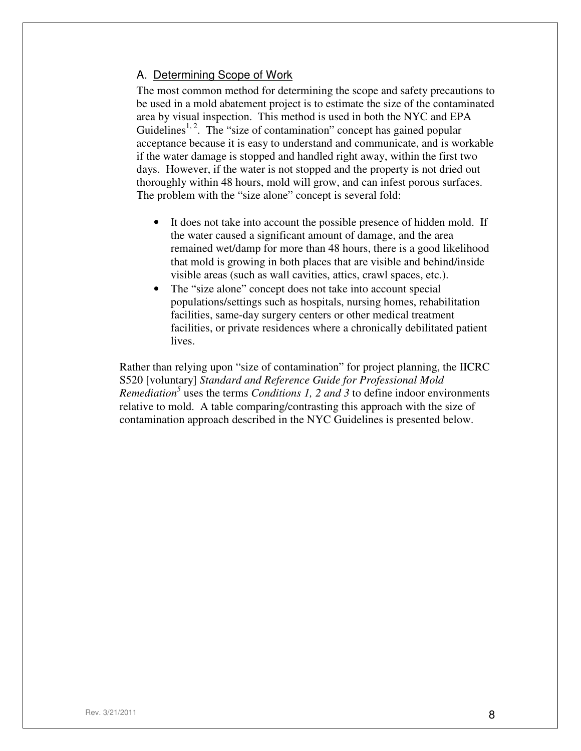# A. Determining Scope of Work

The most common method for determining the scope and safety precautions to be used in a mold abatement project is to estimate the size of the contaminated area by visual inspection. This method is used in both the NYC and EPA Guidelines<sup>1, 2</sup>. The "size of contamination" concept has gained popular acceptance because it is easy to understand and communicate, and is workable if the water damage is stopped and handled right away, within the first two days. However, if the water is not stopped and the property is not dried out thoroughly within 48 hours, mold will grow, and can infest porous surfaces. The problem with the "size alone" concept is several fold:

- It does not take into account the possible presence of hidden mold. If the water caused a significant amount of damage, and the area remained wet/damp for more than 48 hours, there is a good likelihood that mold is growing in both places that are visible and behind/inside visible areas (such as wall cavities, attics, crawl spaces, etc.).
- The "size alone" concept does not take into account special populations/settings such as hospitals, nursing homes, rehabilitation facilities, same-day surgery centers or other medical treatment facilities, or private residences where a chronically debilitated patient lives.

Rather than relying upon "size of contamination" for project planning, the IICRC S520 [voluntary] *Standard and Reference Guide for Professional Mold Remediation<sup>5</sup>* uses the terms *Conditions 1, 2 and 3* to define indoor environments relative to mold. A table comparing/contrasting this approach with the size of contamination approach described in the NYC Guidelines is presented below.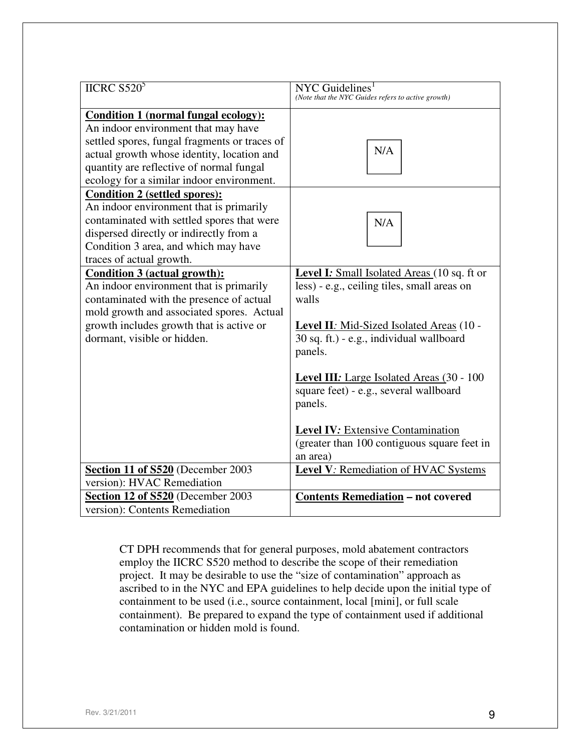| $\overline{\text{HCRC S520}^5}$                                                                                                                                                                                                              | <b>NYC</b> Guidelines<br>(Note that the NYC Guides refers to active growth)                            |
|----------------------------------------------------------------------------------------------------------------------------------------------------------------------------------------------------------------------------------------------|--------------------------------------------------------------------------------------------------------|
| <b>Condition 1 (normal fungal ecology):</b><br>An indoor environment that may have                                                                                                                                                           |                                                                                                        |
| settled spores, fungal fragments or traces of                                                                                                                                                                                                | N/A                                                                                                    |
| actual growth whose identity, location and<br>quantity are reflective of normal fungal                                                                                                                                                       |                                                                                                        |
| ecology for a similar indoor environment.                                                                                                                                                                                                    |                                                                                                        |
| <b>Condition 2 (settled spores):</b><br>An indoor environment that is primarily<br>contaminated with settled spores that were<br>dispersed directly or indirectly from a<br>Condition 3 area, and which may have<br>traces of actual growth. | N/A                                                                                                    |
| <b>Condition 3 (actual growth):</b>                                                                                                                                                                                                          | <b>Level I:</b> Small Isolated Areas (10 sq. ft or                                                     |
| An indoor environment that is primarily<br>contaminated with the presence of actual                                                                                                                                                          | less) - e.g., ceiling tiles, small areas on<br>walls                                                   |
| mold growth and associated spores. Actual                                                                                                                                                                                                    |                                                                                                        |
| growth includes growth that is active or                                                                                                                                                                                                     | Level II: Mid-Sized Isolated Areas (10 -                                                               |
| dormant, visible or hidden.                                                                                                                                                                                                                  | 30 sq. ft.) - e.g., individual wallboard<br>panels.                                                    |
|                                                                                                                                                                                                                                              |                                                                                                        |
|                                                                                                                                                                                                                                              | <b>Level III:</b> Large Isolated Areas (30 - 100)<br>square feet) - e.g., several wallboard<br>panels. |
|                                                                                                                                                                                                                                              | <b>Level IV: Extensive Contamination</b><br>(greater than 100 contiguous square feet in<br>an area)    |
| Section 11 of S520 (December 2003<br>version): HVAC Remediation                                                                                                                                                                              | <b>Level V: Remediation of HVAC Systems</b>                                                            |
| Section 12 of S520 (December 2003<br>version): Contents Remediation                                                                                                                                                                          | <b>Contents Remediation - not covered</b>                                                              |

CT DPH recommends that for general purposes, mold abatement contractors employ the IICRC S520 method to describe the scope of their remediation project. It may be desirable to use the "size of contamination" approach as ascribed to in the NYC and EPA guidelines to help decide upon the initial type of containment to be used (i.e., source containment, local [mini], or full scale containment). Be prepared to expand the type of containment used if additional contamination or hidden mold is found.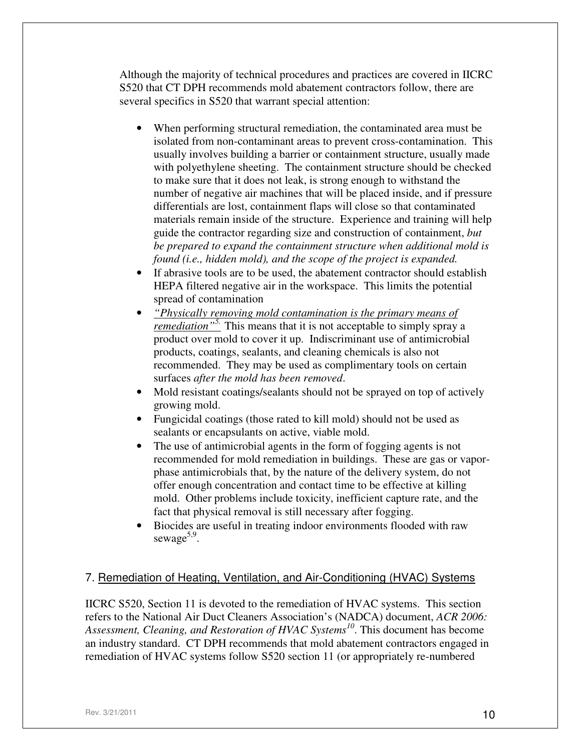Although the majority of technical procedures and practices are covered in IICRC S520 that CT DPH recommends mold abatement contractors follow, there are several specifics in S520 that warrant special attention:

- When performing structural remediation, the contaminated area must be isolated from non-contaminant areas to prevent cross-contamination. This usually involves building a barrier or containment structure, usually made with polyethylene sheeting. The containment structure should be checked to make sure that it does not leak, is strong enough to withstand the number of negative air machines that will be placed inside, and if pressure differentials are lost, containment flaps will close so that contaminated materials remain inside of the structure. Experience and training will help guide the contractor regarding size and construction of containment, *but be prepared to expand the containment structure when additional mold is found (i.e., hidden mold), and the scope of the project is expanded.*
- If abrasive tools are to be used, the abatement contractor should establish HEPA filtered negative air in the workspace. This limits the potential spread of contamination
- *"Physically removing mold contamination is the primary means of remediation"5.* This means that it is not acceptable to simply spray a product over mold to cover it up. Indiscriminant use of antimicrobial products, coatings, sealants, and cleaning chemicals is also not recommended. They may be used as complimentary tools on certain surfaces *after the mold has been removed*.
- Mold resistant coatings/sealants should not be sprayed on top of actively growing mold.
- Fungicidal coatings (those rated to kill mold) should not be used as sealants or encapsulants on active, viable mold.
- The use of antimicrobial agents in the form of fogging agents is not recommended for mold remediation in buildings. These are gas or vaporphase antimicrobials that, by the nature of the delivery system, do not offer enough concentration and contact time to be effective at killing mold. Other problems include toxicity, inefficient capture rate, and the fact that physical removal is still necessary after fogging.
- Biocides are useful in treating indoor environments flooded with raw sewage<sup>5,9</sup>.

# 7. Remediation of Heating, Ventilation, and Air-Conditioning (HVAC) Systems

IICRC S520, Section 11 is devoted to the remediation of HVAC systems. This section refers to the National Air Duct Cleaners Association's (NADCA) document, *ACR 2006: Assessment, Cleaning, and Restoration of HVAC Systems <sup>10</sup>*. This document has become an industry standard. CT DPH recommends that mold abatement contractors engaged in remediation of HVAC systems follow S520 section 11 (or appropriately re-numbered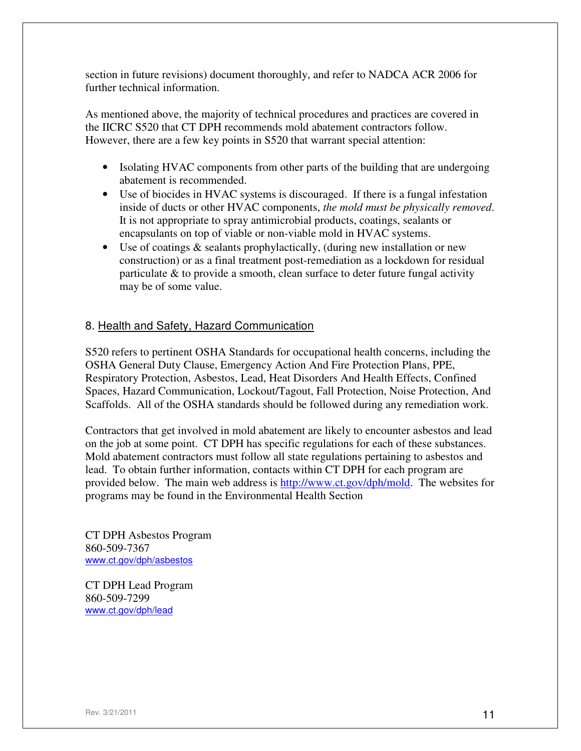section in future revisions) document thoroughly, and refer to NADCA ACR 2006 for further technical information.

As mentioned above, the majority of technical procedures and practices are covered in the IICRC S520 that CT DPH recommends mold abatement contractors follow. However, there are a few key points in S520 that warrant special attention:

- Isolating HVAC components from other parts of the building that are undergoing abatement is recommended.
- Use of biocides in HVAC systems is discouraged. If there is a fungal infestation inside of ducts or other HVAC components, *the mold must be physically removed*. It is not appropriate to spray antimicrobial products, coatings, sealants or encapsulants on top of viable or non-viable mold in HVAC systems.
- Use of coatings & sealants prophylactically, (during new installation or new construction) or as a final treatment post-remediation as a lockdown for residual particulate & to provide a smooth, clean surface to deter future fungal activity may be of some value.

# 8. Health and Safety, Hazard Communication

S520 refers to pertinent OSHA Standards for occupational health concerns, including the OSHA General Duty Clause, Emergency Action And Fire Protection Plans, PPE, Respiratory Protection, Asbestos, Lead, Heat Disorders And Health Effects, Confined Spaces, Hazard Communication, Lockout/Tagout, Fall Protection, Noise Protection, And Scaffolds. All of the OSHA standards should be followed during any remediation work.

Contractors that get involved in mold abatement are likely to encounter asbestos and lead on the job at some point. CT DPH has specific regulations for each of these substances. Mold abatement contractors must follow all state regulations pertaining to asbestos and lead. To obtain further information, contacts within CT DPH for each program are provided below. The main web address is http://www.ct.gov/dph/mold. The websites for programs may be found in the Environmental Health Section

CT DPH Asbestos Program 860-509-7367 www.ct.gov/dph/asbestos

CT DPH Lead Program 860-509-7299 www.ct.gov/dph/lead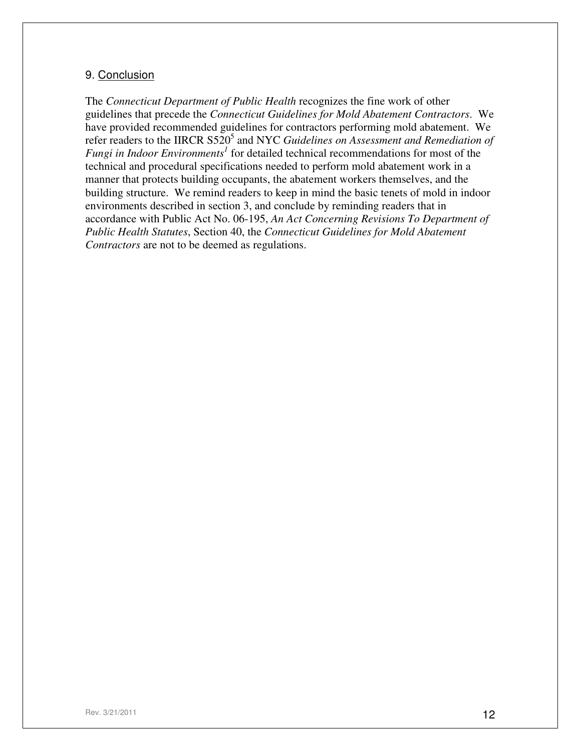# 9. Conclusion

The *Connecticut Department of Public Health* recognizes the fine work of other guidelines that precede the *Connecticut Guidelines for Mold Abatement Contractors*. We have provided recommended guidelines for contractors performing mold abatement. We refer readers to the IIRCR S520<sup>5</sup> and NYC *Guidelines on Assessment and Remediation of* Fungi in Indoor Environments<sup>1</sup> for detailed technical recommendations for most of the technical and procedural specifications needed to perform mold abatement work in a manner that protects building occupants, the abatement workers themselves, and the building structure. We remind readers to keep in mind the basic tenets of mold in indoor environments described in section 3, and conclude by reminding readers that in accordance with Public Act No. 06-195, *An Act Concerning Revisions To Department of Public Health Statutes*, Section 40, the *Connecticut Guidelines for Mold Abatement Contractors* are not to be deemed as regulations.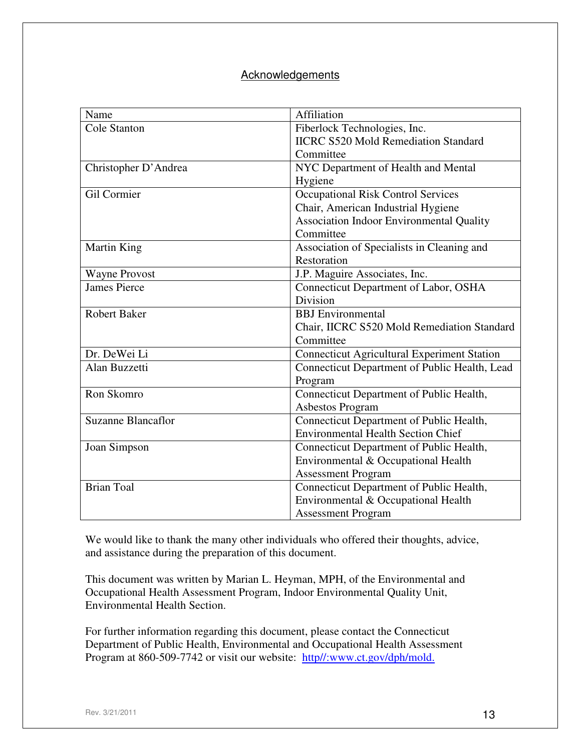# **Acknowledgements**

| Name                      | Affiliation                                        |  |
|---------------------------|----------------------------------------------------|--|
| <b>Cole Stanton</b>       | Fiberlock Technologies, Inc.                       |  |
|                           | <b>IICRC S520 Mold Remediation Standard</b>        |  |
|                           | Committee                                          |  |
| Christopher D'Andrea      | NYC Department of Health and Mental                |  |
|                           | Hygiene                                            |  |
| <b>Gil Cormier</b>        | <b>Occupational Risk Control Services</b>          |  |
|                           | Chair, American Industrial Hygiene                 |  |
|                           | <b>Association Indoor Environmental Quality</b>    |  |
|                           | Committee                                          |  |
| <b>Martin King</b>        | Association of Specialists in Cleaning and         |  |
|                           | Restoration                                        |  |
| <b>Wayne Provost</b>      | J.P. Maguire Associates, Inc.                      |  |
| <b>James Pierce</b>       | <b>Connecticut Department of Labor, OSHA</b>       |  |
|                           | Division                                           |  |
| <b>Robert Baker</b>       | <b>BBJ</b> Environmental                           |  |
|                           | Chair, IICRC S520 Mold Remediation Standard        |  |
|                           | Committee                                          |  |
| Dr. DeWei Li              | <b>Connecticut Agricultural Experiment Station</b> |  |
| Alan Buzzetti             | Connecticut Department of Public Health, Lead      |  |
|                           | Program                                            |  |
| Ron Skomro                | Connecticut Department of Public Health,           |  |
|                           | <b>Asbestos Program</b>                            |  |
| <b>Suzanne Blancaflor</b> | Connecticut Department of Public Health,           |  |
|                           | <b>Environmental Health Section Chief</b>          |  |
| Joan Simpson              | Connecticut Department of Public Health,           |  |
|                           | Environmental & Occupational Health                |  |
|                           | <b>Assessment Program</b>                          |  |
| <b>Brian Toal</b>         | Connecticut Department of Public Health,           |  |
|                           | Environmental & Occupational Health                |  |
|                           | <b>Assessment Program</b>                          |  |

We would like to thank the many other individuals who offered their thoughts, advice, and assistance during the preparation of this document.

This document was written by Marian L. Heyman, MPH, of the Environmental and Occupational Health Assessment Program, Indoor Environmental Quality Unit, Environmental Health Section.

For further information regarding this document, please contact the Connecticut Department of Public Health, Environmental and Occupational Health Assessment Program at 860-509-7742 or visit our website: http//:www.ct.gov/dph/mold.